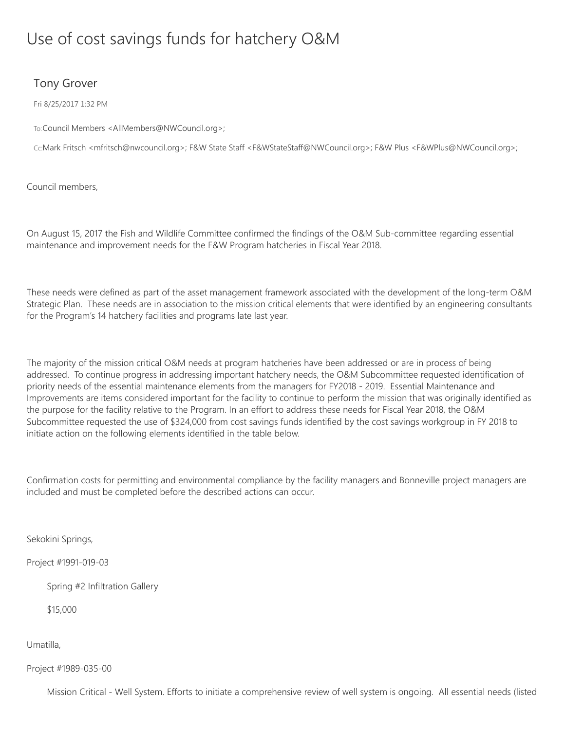## Use of cost savings funds for hatchery O&M

## Tony Grover

Fri 8/25/2017 1:32 PM

To:Council Members <AllMembers@NWCouncil.org>;

Cc:Mark Fritsch <mfritsch@nwcouncil.org>; F&W State Staff <F&WStateStaff@NWCouncil.org>; F&W Plus <F&WPlus@NWCouncil.org>;

Council members,

On August 15, 2017 the Fish and Wildlife Committee confirmed the findings of the O&M Sub-committee regarding essential maintenance and improvement needs for the F&W Program hatcheries in Fiscal Year 2018.

These needs were defined as part of the asset management framework associated with the development of the long-term O&M Strategic Plan. These needs are in association to the mission critical elements that were identified by an engineering consultants for the Program's 14 hatchery facilities and programs late last year.

The majority of the mission critical O&M needs at program hatcheries have been addressed or are in process of being addressed. To continue progress in addressing important hatchery needs, the O&M Subcommittee requested identification of priority needs of the essential maintenance elements from the managers for FY2018 - 2019. Essential Maintenance and Improvements are items considered important for the facility to continue to perform the mission that was originally identified as the purpose for the facility relative to the Program. In an effort to address these needs for Fiscal Year 2018, the O&M Subcommittee requested the use of \$324,000 from cost savings funds identified by the cost savings workgroup in FY 2018 to initiate action on the following elements identified in the table below.

Confirmation costs for permitting and environmental compliance by the facility managers and Bonneville project managers are included and must be completed before the described actions can occur.

Sekokini Springs,

Project #1991-019-03

Spring #2 Infiltration Gallery

\$15,000

Umatilla,

Project #1989-035-00

Mission Critical - Well System. Efforts to initiate a comprehensive review of well system is ongoing. All essential needs (listed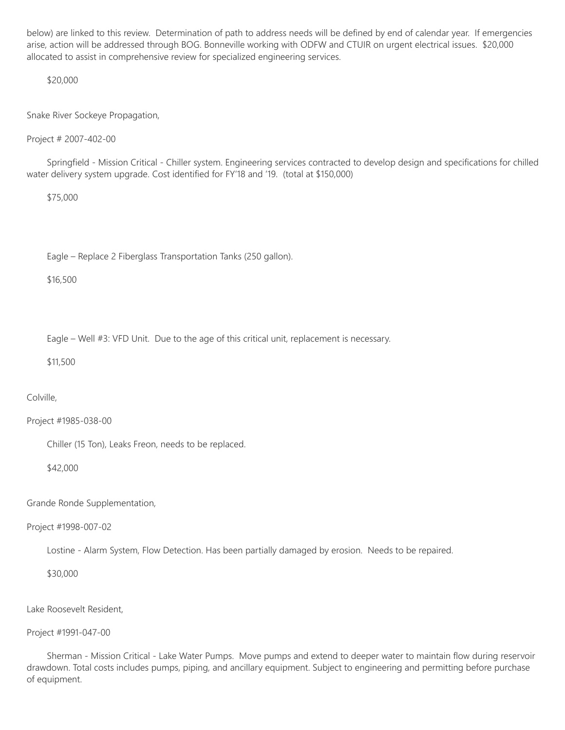below) are linked to this review. Determination of path to address needs will be defined by end of calendar year. If emergencies arise, action will be addressed through BOG. Bonneville working with ODFW and CTUIR on urgent electrical issues. \$20,000 allocated to assist in comprehensive review for specialized engineering services.

\$20,000

Snake River Sockeye Propagation,

Project # 2007-402-00

Springfield - Mission Critical - Chiller system. Engineering services contracted to develop design and specifications for chilled water delivery system upgrade. Cost identified for FY'18 and '19. (total at \$150,000)

\$75,000

Eagle – Replace 2 Fiberglass Transportation Tanks (250 gallon).

\$16,500

Eagle – Well #3: VFD Unit. Due to the age of this critical unit, replacement is necessary.

\$11,500

Colville,

Project #1985-038-00

Chiller (15 Ton), Leaks Freon, needs to be replaced.

\$42,000

Grande Ronde Supplementation,

Project #1998-007-02

Lostine - Alarm System, Flow Detection. Has been partially damaged by erosion. Needs to be repaired.

\$30,000

Lake Roosevelt Resident,

Project #1991-047-00

Sherman - Mission Critical - Lake Water Pumps. Move pumps and extend to deeper water to maintain flow during reservoir drawdown. Total costs includes pumps, piping, and ancillary equipment. Subject to engineering and permitting before purchase of equipment.